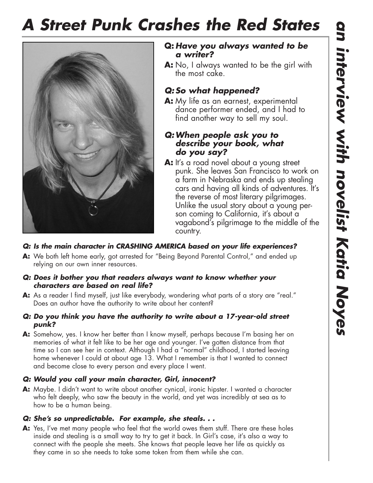# *A Street Punk Crashes the Red States*



### **Q:** *Have you always wanted to be a writer?*

**A:** No, I always wanted to be the girl with the most cake.

## *Q: So what happened?*

**A:** My life as an earnest, experimental dance performer ended, and I had to find another way to sell my soul.

## *Q:When people ask you to describe your book, what do you say?*

**A:** It's a road novel about a young street punk. She leaves San Francisco to work on a farm in Nebraska and ends up stealing cars and having all kinds of adventures. It's the reverse of most literary pilgrimages. Unlike the usual story about a young person coming to California, it's about a vagabond's pilgrimage to the middle of the country.

## *Q: Is the main character in CRASHING AMERICA based on your life experiences?*

**A:** We both left home early, got arrested for "Being Beyond Parental Control," and ended up relying on our own inner resources.

#### *Q: Does it bother you that readers always want to know whether your characters are based on real life?*

**A:** As a reader I find myself, just like everybody, wondering what parts of a story are "real." Does an author have the authority to write about her content?

#### *Q: Do you think you have the authority to write about a 17-year-old street punk?*

**A:** Somehow, yes. I know her better than I know myself, perhaps because I'm basing her on memories of what it felt like to be her age and younger. I've gotten distance from that time so I can see her in context. Although I had a "normal" childhood, I started leaving home whenever I could at about age 13. What I remember is that I wanted to connect and become close to every person and every place I went.

## *Q: Would you call your main character, Girl, innocent?*

**A:** Maybe. I didn't want to write about another cynical, ironic hipster. I wanted a character who felt deeply, who saw the beauty in the world, and yet was incredibly at sea as to how to be a human being.

## *Q: She's so unpredictable. For example, she steals. . .*

**A:** Yes, I've met many people who feel that the world owes them stuff. There are these holes inside and stealing is a small way to try to get it back. In Girl's case, it's also a way to connect with the people she meets. She knows that people leave her life as quickly as they came in so she needs to take some token from them while she can.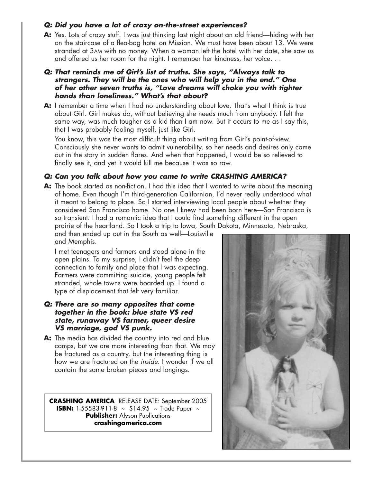#### *Q: Did you have a lot of crazy on-the-street experiences?*

**A:** Yes. Lots of crazy stuff. I was just thinking last night about an old friend—hiding with her on the staircase of a flea-bag hotel on Mission. We must have been about 13. We were stranded at 3AM with no money. When a woman left the hotel with her date, she saw us and offered us her room for the night. I remember her kindness, her voice. . .

#### *Q: That reminds me of Girl's list of truths. She says, "Always talk to strangers. They will be the ones who will help you in the end." One of her other seven truths is, "Love dreams will choke you with tighter hands than loneliness." What's that about?*

**A:** I remember a time when I had no understanding about love. That's what I think is true about Girl. Girl makes do, without believing she needs much from anybody. I felt the same way, was much tougher as a kid than I am now. But it occurs to me as I say this, that I was probably fooling myself, just like Girl.

You know, this was the most difficult thing about writing from Girl's point-of-view. Consciously she never wants to admit vulnerability, so her needs and desires only came out in the story in sudden flares. And when that happened, I would be so relieved to finally see it, and yet it would kill me because it was so raw.

#### *Q: Can you talk about how you came to write CRASHING AMERICA?*

**A:** The book started as non-fiction. I had this idea that I wanted to write about the meaning of home. Even though I'm third-generation Californian, I'd never really understood what it meant to belong to place. So I started interviewing local people about whether they considered San Francisco home. No one I knew had been born here—San Francisco is so transient. I had a romantic idea that I could find something different in the open prairie of the heartland. So I took a trip to Iowa, South Dakota, Minnesota, Nebraska,

and then ended up out in the South as well—Louisville and Memphis.

I met teenagers and farmers and stood alone in the open plains. To my surprise, I didn't feel the deep connection to family and place that I was expecting. Farmers were committing suicide, young people felt stranded, whole towns were boarded up. I found a type of displacement that felt very familiar.

#### *Q: There are so many opposites that come together in the book: blue state VS red state, runaway VS farmer, queer desire VS marriage, god VS punk.*

**A:** The media has divided the country into red and blue camps, but we are more interesting than that. We may be fractured as a country, but the interesting thing is how we are fractured on the *inside*. I wonder if we all contain the same broken pieces and longings.

**CRASHING AMERICA** RELEASE DATE: September 2005 **ISBN:** 1-55583-911-8 ~ \$14.95 ~ Trade Paper ~ **Publisher:** Alyson Publications **crashingamerica.com**